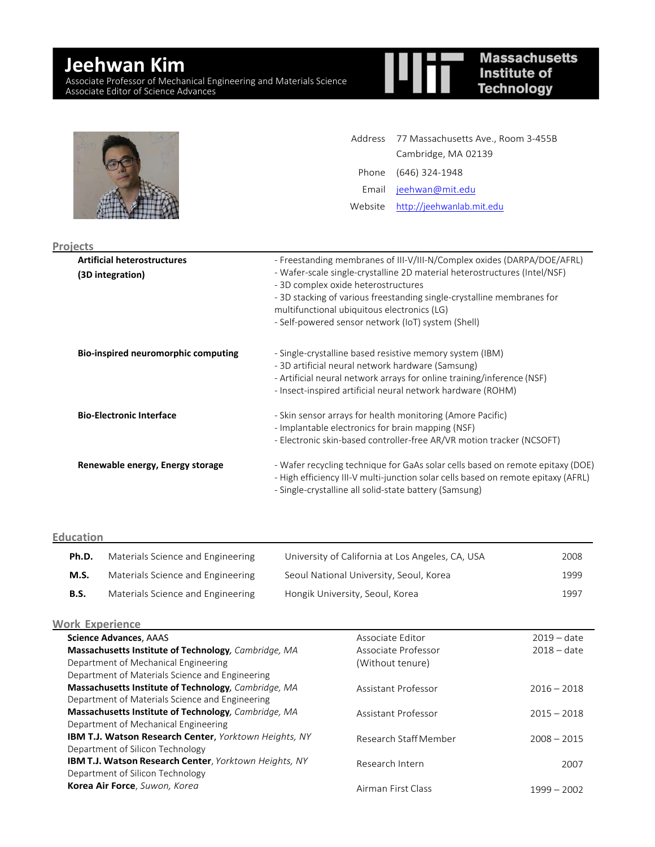# **Jeehwan Kim**

Associate Professor of Mechanical Engineering and Materials Science Associate Editor of Science Advances

| <b>Massachusetts</b> |
|----------------------|
| Institute of         |
| <b>Technology</b>    |

|  | Address 77 Massachusetts Ave., Room 3-455B<br>Cambridge, MA 02139 |
|--|-------------------------------------------------------------------|
|  | Phone (646) 324-1948                                              |
|  | Email jeehwan@mit.edu                                             |
|  | Website http://jeehwanlab.mit.edu                                 |
|  |                                                                   |

| <b>Projects</b>                                        |                                                                                                                                                                                                                                                                                                                                                                            |
|--------------------------------------------------------|----------------------------------------------------------------------------------------------------------------------------------------------------------------------------------------------------------------------------------------------------------------------------------------------------------------------------------------------------------------------------|
| <b>Artificial heterostructures</b><br>(3D integration) | - Freestanding membranes of III-V/III-N/Complex oxides (DARPA/DOE/AFRL)<br>- Wafer-scale single-crystalline 2D material heterostructures (Intel/NSF)<br>- 3D complex oxide heterostructures<br>- 3D stacking of various freestanding single-crystalline membranes for<br>multifunctional ubiquitous electronics (LG)<br>- Self-powered sensor network (IoT) system (Shell) |
| Bio-inspired neuromorphic computing                    | - Single-crystalline based resistive memory system (IBM)<br>- 3D artificial neural network hardware (Samsung)<br>- Artificial neural network arrays for online training/inference (NSF)<br>- Insect-inspired artificial neural network hardware (ROHM)                                                                                                                     |
| <b>Bio-Electronic Interface</b>                        | - Skin sensor arrays for health monitoring (Amore Pacific)<br>- Implantable electronics for brain mapping (NSF)<br>- Electronic skin-based controller-free AR/VR motion tracker (NCSOFT)                                                                                                                                                                                   |
| Renewable energy, Energy storage                       | - Wafer recycling technique for GaAs solar cells based on remote epitaxy (DOE)<br>- High efficiency III-V multi-junction solar cells based on remote epitaxy (AFRL)<br>- Single-crystalline all solid-state battery (Samsung)                                                                                                                                              |

#### **Education**

| Ph.D. | Materials Science and Engineering | University of California at Los Angeles, CA, USA | 2008 |
|-------|-----------------------------------|--------------------------------------------------|------|
| M.S.  | Materials Science and Engineering | Seoul National University, Seoul, Korea          | 1999 |
| B.S.  | Materials Science and Engineering | Hongik University, Seoul, Korea                  | 1997 |

### **Work Experience**

| <b>JUIK EXDEHEIILE</b>                                        |                       |               |
|---------------------------------------------------------------|-----------------------|---------------|
| <b>Science Advances, AAAS</b>                                 | Associate Editor      | $2019 - date$ |
| Massachusetts Institute of Technology, Cambridge, MA          | Associate Professor   | $2018 - date$ |
| Department of Mechanical Engineering                          | (Without tenure)      |               |
| Department of Materials Science and Engineering               |                       |               |
| Massachusetts Institute of Technology, Cambridge, MA          | Assistant Professor   | $2016 - 2018$ |
| Department of Materials Science and Engineering               |                       |               |
| Massachusetts Institute of Technology, Cambridge, MA          | Assistant Professor   | $2015 - 2018$ |
| Department of Mechanical Engineering                          |                       |               |
| IBM T.J. Watson Research Center, Yorktown Heights, NY         | Research Staff Member | $2008 - 2015$ |
| Department of Silicon Technology                              |                       |               |
| <b>IBM T.J. Watson Research Center</b> , Yorktown Heights, NY | Research Intern       | 2007          |
| Department of Silicon Technology                              |                       |               |
| Korea Air Force, Suwon, Korea                                 | Airman First Class    | $1999 - 2002$ |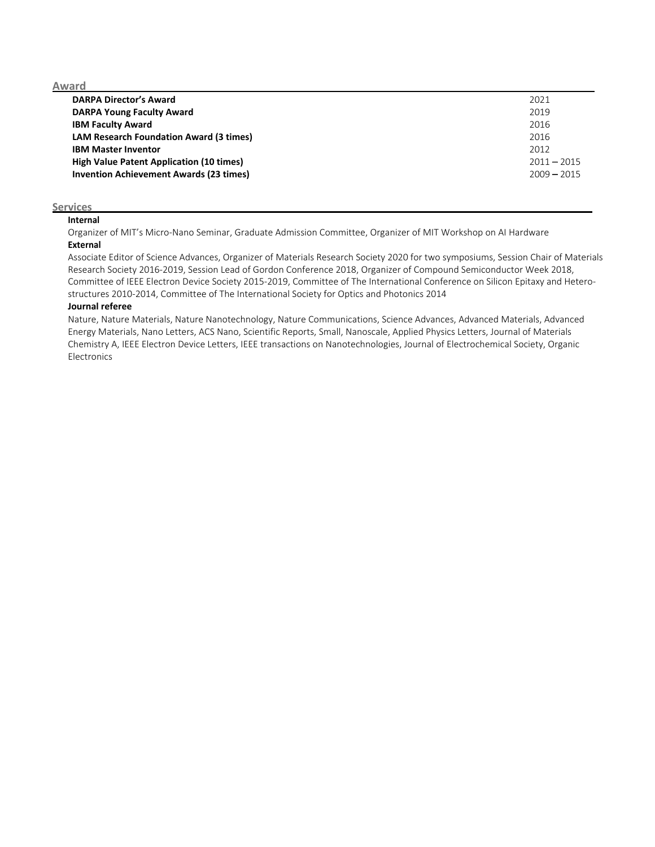**Award**

| <b>DARPA Director's Award</b>                   | 2021          |
|-------------------------------------------------|---------------|
| <b>DARPA Young Faculty Award</b>                | 2019          |
| <b>IBM Faculty Award</b>                        | 2016          |
| <b>LAM Research Foundation Award (3 times)</b>  | 2016          |
| <b>IBM Master Inventor</b>                      | 2012          |
| <b>High Value Patent Application (10 times)</b> | $2011 - 2015$ |
| <b>Invention Achievement Awards (23 times)</b>  | $2009 - 2015$ |

#### **Services**

#### **Internal**

Organizer of MIT's Micro‐Nano Seminar, Graduate Admission Committee, Organizer of MIT Workshop on AI Hardware **External**

Associate Editor of Science Advances, Organizer of Materials Research Society 2020 for two symposiums, Session Chair of Materials Research Society 2016‐2019, Session Lead of Gordon Conference 2018, Organizer of Compound Semiconductor Week 2018, Committee of IEEE Electron Device Society 2015‐2019, Committee of The International Conference on Silicon Epitaxy and Hetero‐ structures 2010‐2014, Committee of The International Society for Optics and Photonics 2014

#### **Journal referee**

Nature, Nature Materials, Nature Nanotechnology, Nature Communications, Science Advances, Advanced Materials, Advanced Energy Materials, Nano Letters, ACS Nano, Scientific Reports, Small, Nanoscale, Applied Physics Letters, Journal of Materials Chemistry A, IEEE Electron Device Letters, IEEE transactions on Nanotechnologies, Journal of Electrochemical Society, Organic Electronics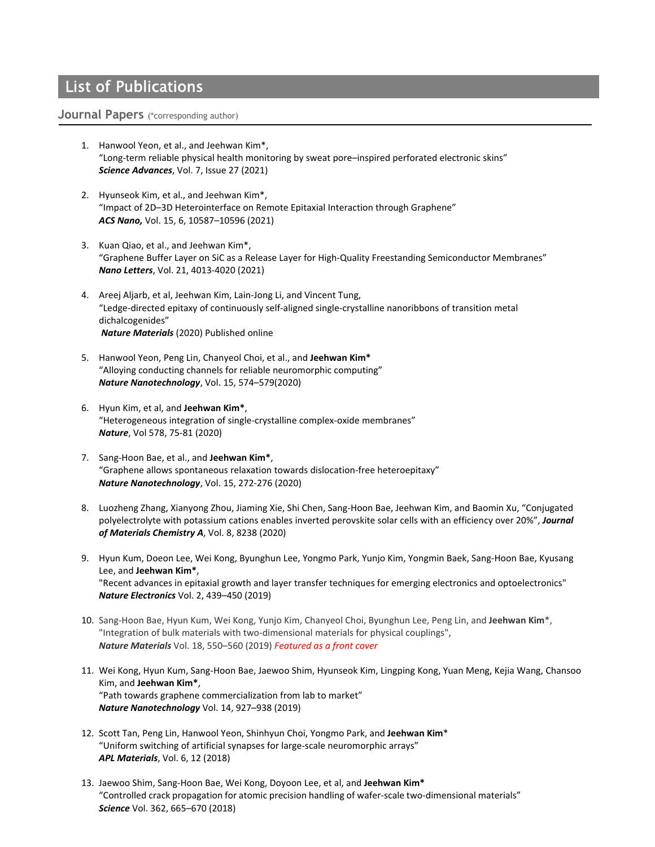## List of Publications

#### **Journal Papers** (\*corresponding author)

- 1. Hanwool Yeon, et al., and Jeehwan Kim\*, "Long‐term reliable physical health monitoring by sweat pore–inspired perforated electronic skins" *Science Advances*, Vol. 7, Issue 27 (2021)
- 2. Hyunseok Kim, et al., and Jeehwan Kim\*, "Impact of 2D–3D Heterointerface on Remote Epitaxial Interaction through Graphene" *ACS Nano,* Vol. 15, 6, 10587–10596 (2021)
- 3. Kuan Qiao, et al., and Jeehwan Kim\*, "Graphene Buffer Layer on SiC as a Release Layer for High‐Quality Freestanding Semiconductor Membranes" *Nano Letters*, Vol. 21, 4013‐4020 (2021)
- 4. Areej Aljarb, et al, Jeehwan Kim, Lain‐Jong Li, and Vincent Tung, "Ledge‐directed epitaxy of continuously self‐aligned single‐crystalline nanoribbons of transition metal dichalcogenides" *Nature Materials* (2020) Published online
- 5. Hanwool Yeon, Peng Lin, Chanyeol Choi, et al., and **Jeehwan Kim\*** "Alloying conducting channels for reliable neuromorphic computing" *Nature Nanotechnology*, Vol. 15, 574–579(2020)
- 6. Hyun Kim, et al, and **Jeehwan Kim\***, "Heterogeneous integration of single‐crystalline complex‐oxide membranes" *Nature*, Vol 578, 75‐81 (2020)
- 7. Sang‐Hoon Bae, et al., and **Jeehwan Kim\***, "Graphene allows spontaneous relaxation towards dislocation‐free heteroepitaxy" *Nature Nanotechnology*, Vol. 15, 272‐276 (2020)
- 8. Luozheng Zhang, Xianyong Zhou, Jiaming Xie, Shi Chen, Sang‐Hoon Bae, Jeehwan Kim, and Baomin Xu, "Conjugated polyelectrolyte with potassium cations enables inverted perovskite solar cells with an efficiency over 20%", *Journal of Materials Chemistry A*, Vol. 8, 8238 (2020)
- 9. Hyun Kum, Doeon Lee, Wei Kong, Byunghun Lee, Yongmo Park, Yunjo Kim, Yongmin Baek, Sang‐Hoon Bae, Kyusang Lee, and **Jeehwan Kim\***, "Recent advances in epitaxial growth and layer transfer techniques for emerging electronics and optoelectronics" *Nature Electronics* Vol. 2, 439–450 (2019)
- 10. Sang‐Hoon Bae, Hyun Kum, Wei Kong, Yunjo Kim, Chanyeol Choi, Byunghun Lee, Peng Lin, and **Jeehwan Kim**\*, "Integration of bulk materials with two-dimensional materials for physical couplings", *Nature Materials* Vol. 18, 550–560 (2019) *Featured as a front cover*
- 11. Wei Kong, Hyun Kum, Sang‐Hoon Bae, Jaewoo Shim, Hyunseok Kim, Lingping Kong, Yuan Meng, Kejia Wang, Chansoo Kim, and **Jeehwan Kim\***, "Path towards graphene commercialization from lab to market" *Nature Nanotechnology* Vol. 14, 927–938 (2019)
- 12. Scott Tan, Peng Lin, Hanwool Yeon, Shinhyun Choi, Yongmo Park, and **Jeehwan Kim**\* "Uniform switching of artificial synapses for large‐scale neuromorphic arrays" *APL Materials*, Vol. 6, 12 (2018)
- 13. Jaewoo Shim, Sang‐Hoon Bae, Wei Kong, Doyoon Lee, et al, and **Jeehwan Kim\*** "Controlled crack propagation for atomic precision handling of wafer‐scale two‐dimensional materials" *Science* Vol. 362, 665–670 (2018)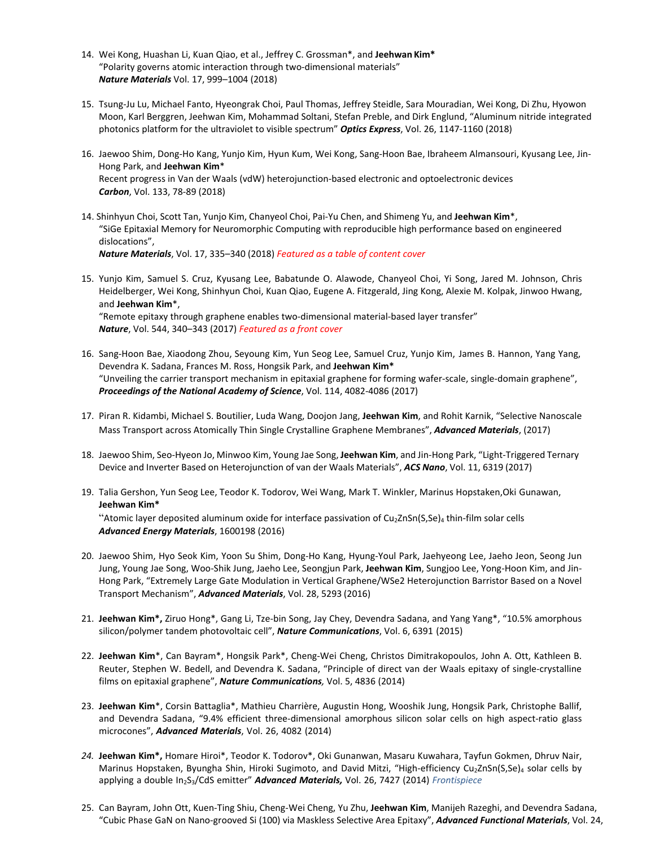- 14. Wei Kong, Huashan Li, Kuan Qiao, et al., Jeffrey C. Grossman\*, and **Jeehwan Kim\*** "Polarity governs atomic interaction through two‐dimensional materials" *Nature Materials* Vol. 17, 999–1004 (2018)
- 15. Tsung‐Ju Lu, Michael Fanto, Hyeongrak Choi, Paul Thomas, Jeffrey Steidle, Sara Mouradian, Wei Kong, Di Zhu, Hyowon Moon, Karl Berggren, Jeehwan Kim, Mohammad Soltani, Stefan Preble, and Dirk Englund, "Aluminum nitride integrated photonics platform for the ultraviolet to visible spectrum" *Optics Express*, Vol. 26, 1147‐1160 (2018)
- 16. Jaewoo Shim, Dong‐Ho Kang, Yunjo Kim, Hyun Kum, Wei Kong, Sang‐Hoon Bae, Ibraheem Almansouri, Kyusang Lee, Jin‐ Hong Park, and **Jeehwan Kim**\* Recent progress in Van der Waals (vdW) heterojunction‐based electronic and optoelectronic devices *Carbon*, Vol. 133, 78‐89 (2018)
- 14. Shinhyun Choi, Scott Tan, Yunjo Kim, Chanyeol Choi, Pai‐Yu Chen, and Shimeng Yu, and **Jeehwan Kim**\*, "SiGe Epitaxial Memory for Neuromorphic Computing with reproducible high performance based on engineered dislocations", *Nature Materials*, Vol. 17, 335–340 (2018) *Featured as a table of content cover*
- 15. Yunjo Kim, Samuel S. Cruz, Kyusang Lee, Babatunde O. Alawode, Chanyeol Choi, Yi Song, Jared M. Johnson, Chris Heidelberger, Wei Kong, Shinhyun Choi, Kuan Qiao, Eugene A. Fitzgerald, Jing Kong, Alexie M. Kolpak, Jinwoo Hwang, and **Jeehwan Kim**\*, "Remote epitaxy through graphene enables two‐dimensional material‐based layer transfer" *Nature*, Vol. 544, 340–343 (2017) *Featured as a front cover*
- 16. Sang‐Hoon Bae, Xiaodong Zhou, Seyoung Kim, Yun Seog Lee, Samuel Cruz, Yunjo Kim, James B. Hannon, Yang Yang, Devendra K. Sadana, Frances M. Ross, Hongsik Park, and **Jeehwan Kim\*** "Unveiling the carrier transport mechanism in epitaxial graphene for forming wafer‐scale, single‐domain graphene", *Proceedings of the National Academy of Science*, Vol. 114, 4082‐4086 (2017)
- 17. Piran R. Kidambi, Michael S. Boutilier, Luda Wang, Doojon Jang, **Jeehwan Kim**, and Rohit Karnik, "Selective Nanoscale Mass Transport across Atomically Thin Single Crystalline Graphene Membranes", *Advanced Materials*, (2017)
- 18. Jaewoo Shim, Seo‐Hyeon Jo, Minwoo Kim, Young Jae Song, **Jeehwan Kim**, and Jin‐Hong Park, "Light‐Triggered Ternary Device and Inverter Based on Heterojunction of van der Waals Materials", *ACS Nano*, Vol. 11, 6319 (2017)
- 19. Talia Gershon, Yun Seog Lee, Teodor K. Todorov, Wei Wang, Mark T. Winkler, Marinus Hopstaken,Oki Gunawan, **Jeehwan Kim\*** "Atomic layer deposited aluminum oxide for interface passivation of Cu<sub>2</sub>ZnSn(S,Se)<sub>4</sub> thin-film solar cells *Advanced Energy Materials*, 1600198 (2016)
- 20. Jaewoo Shim, Hyo Seok Kim, Yoon Su Shim, Dong‐Ho Kang, Hyung‐Youl Park, Jaehyeong Lee, Jaeho Jeon, Seong Jun Jung, Young Jae Song, Woo‐Shik Jung, Jaeho Lee, Seongjun Park, **Jeehwan Kim**, Sungjoo Lee, Yong‐Hoon Kim, and Jin‐ Hong Park, "Extremely Large Gate Modulation in Vertical Graphene/WSe2 Heterojunction Barristor Based on a Novel Transport Mechanism", *Advanced Materials*, Vol. 28, 5293 (2016)
- 21. **Jeehwan Kim\*,** Ziruo Hong\*, Gang Li, Tze‐bin Song, Jay Chey, Devendra Sadana, and Yang Yang\*, "10.5% amorphous silicon/polymer tandem photovoltaic cell", *Nature Communications*, Vol. 6, 6391 (2015)
- 22. **Jeehwan Kim**\*, Can Bayram\*, Hongsik Park\*, Cheng‐Wei Cheng, Christos Dimitrakopoulos, John A. Ott, Kathleen B. Reuter, Stephen W. Bedell, and Devendra K. Sadana, "Principle of direct van der Waals epitaxy of single‐crystalline films on epitaxial graphene", *Nature Communications,* Vol. 5, 4836 (2014)
- 23. **Jeehwan Kim**\*, Corsin Battaglia\*, Mathieu Charrière, Augustin Hong, Wooshik Jung, Hongsik Park, Christophe Ballif, and Devendra Sadana, "9.4% efficient three-dimensional amorphous silicon solar cells on high aspect-ratio glass microcones", *Advanced Materials*, Vol. 26, 4082 (2014)
- *24.* **Jeehwan Kim\*,** Homare Hiroi\*, Teodor K. Todorov\*, Oki Gunanwan, Masaru Kuwahara, Tayfun Gokmen, Dhruv Nair, Marinus Hopstaken, Byungha Shin, Hiroki Sugimoto, and David Mitzi, "High-efficiency Cu<sub>2</sub>ZnSn(S,Se)<sub>4</sub> solar cells by applying a double In2S3/CdS emitter" *Advanced Materials,* Vol. 26, 7427 (2014) *Frontispiece*
- 25. Can Bayram, John Ott, Kuen‐Ting Shiu, Cheng‐Wei Cheng, Yu Zhu, **Jeehwan Kim**, Manijeh Razeghi, and Devendra Sadana, "Cubic Phase GaN on Nano‐grooved Si (100) via Maskless Selective Area Epitaxy", *Advanced Functional Materials*, Vol. 24,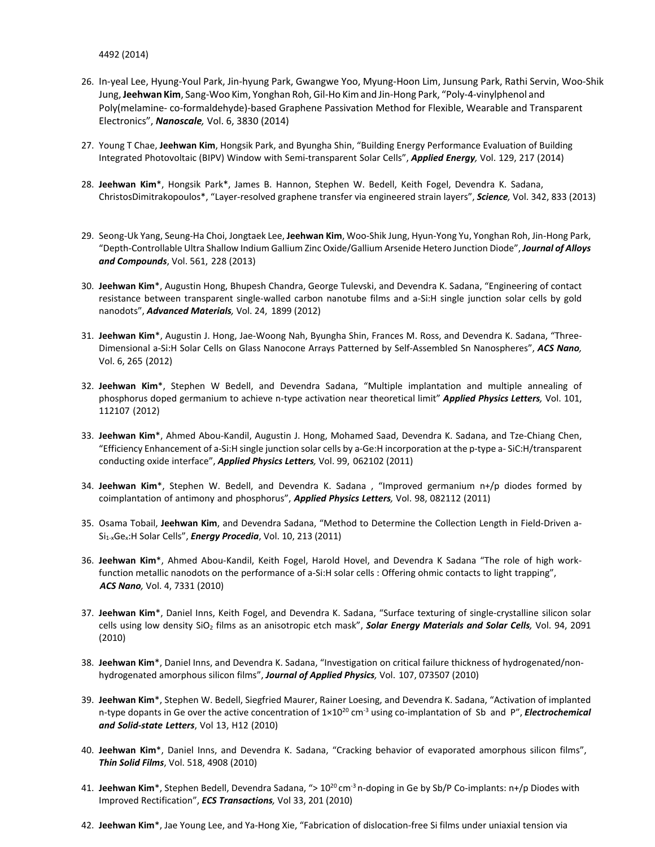4492 (2014)

- 26. In‐yeal Lee, Hyung‐Youl Park, Jin‐hyung Park, Gwangwe Yoo, Myung‐Hoon Lim, Junsung Park, Rathi Servin, Woo‐Shik Jung,**Jeehwan Kim**, Sang‐Woo Kim, Yonghan Roh, Gil‐Ho Kimand Jin‐Hong Park, "Poly‐4‐vinylphenol and Poly(melamine‐ co‐formaldehyde)‐based Graphene Passivation Method for Flexible, Wearable and Transparent Electronics", *Nanoscale,* Vol. 6, 3830 (2014)
- 27. Young T Chae, **Jeehwan Kim**, Hongsik Park, and Byungha Shin, "Building Energy Performance Evaluation of Building Integrated Photovoltaic (BIPV) Window with Semi‐transparent Solar Cells", *Applied Energy,* Vol. 129, 217 (2014)
- 28. **Jeehwan Kim**\*, Hongsik Park\*, James B. Hannon, Stephen W. Bedell, Keith Fogel, Devendra K. Sadana, ChristosDimitrakopoulos\*, "Layer‐resolved graphene transfer via engineered strain layers", *Science,* Vol. 342, 833 (2013)
- 29. Seong‐Uk Yang, Seung‐Ha Choi, Jongtaek Lee, **Jeehwan Kim**, Woo‐Shik Jung, Hyun‐Yong Yu, Yonghan Roh, Jin‐Hong Park, "Depth‐Controllable Ultra Shallow Indium Gallium Zinc Oxide/Gallium Arsenide Hetero Junction Diode", *Journal of Alloys and Compounds*, Vol. 561, 228 (2013)
- 30. **Jeehwan Kim**\*, Augustin Hong, Bhupesh Chandra, George Tulevski, and Devendra K. Sadana, "Engineering of contact resistance between transparent single‐walled carbon nanotube films and a‐Si:H single junction solar cells by gold nanodots", *Advanced Materials,* Vol. 24, 1899 (2012)
- 31. **Jeehwan Kim**\*, Augustin J. Hong, Jae‐Woong Nah, Byungha Shin, Frances M. Ross, and Devendra K. Sadana, "Three‐ Dimensional a‐Si:H Solar Cells on Glass Nanocone Arrays Patterned by Self‐Assembled Sn Nanospheres", *ACS Nano,* Vol. 6, 265 (2012)
- 32. **Jeehwan Kim**\*, Stephen W Bedell, and Devendra Sadana, "Multiple implantation and multiple annealing of phosphorus doped germanium to achieve n‐type activation near theoretical limit" *Applied Physics Letters,* Vol. 101, 112107 (2012)
- 33. **Jeehwan Kim**\*, Ahmed Abou‐Kandil, Augustin J. Hong, Mohamed Saad, Devendra K. Sadana, and Tze‐Chiang Chen, "Efficiency Enhancement of a‐Si:H single junction solar cells by a‐Ge:H incorporation at the p‐type a‐ SiC:H/transparent conducting oxide interface", *Applied Physics Letters,* Vol. 99, 062102 (2011)
- 34. **Jeehwan Kim**\*, Stephen W. Bedell, and Devendra K. Sadana , "Improved germanium n+/p diodes formed by coimplantation of antimony and phosphorus", *Applied Physics Letters,* Vol. 98, 082112 (2011)
- 35. Osama Tobail, **Jeehwan Kim**, and Devendra Sadana, "Method to Determine the Collection Length in Field‐Driven a‐ Si1‐xGex:H Solar Cells", *Energy Procedia*, Vol. 10, 213 (2011)
- 36. **Jeehwan Kim**\*, Ahmed Abou‐Kandil, Keith Fogel, Harold Hovel, and Devendra K Sadana "The role of high work‐ function metallic nanodots on the performance of a-Si:H solar cells : Offering ohmic contacts to light trapping", *ACS Nano,* Vol. 4, 7331 (2010)
- 37. **Jeehwan Kim**\*, Daniel Inns, Keith Fogel, and Devendra K. Sadana, "Surface texturing of single‐crystalline silicon solar cells using low density SiO2 films as an anisotropic etch mask", *Solar Energy Materials and Solar Cells,* Vol. 94, 2091 (2010)
- 38. **Jeehwan Kim**\*, Daniel Inns, and Devendra K. Sadana, "Investigation on critical failure thickness of hydrogenated/non‐ hydrogenated amorphous silicon films", *Journal of Applied Physics,* Vol. 107, 073507 (2010)
- 39. **Jeehwan Kim**\*, Stephen W. Bedell, Siegfried Maurer, Rainer Loesing, and Devendra K. Sadana, "Activation of implanted n-type dopants in Ge over the active concentration of  $1\times10^{20}$  cm<sup>-3</sup> using co-implantation of Sb and P", *Electrochemical and Solid‐state Letters*, Vol 13, H12 (2010)
- 40. **Jeehwan Kim**\*, Daniel Inns, and Devendra K. Sadana, "Cracking behavior of evaporated amorphous silicon films", *Thin Solid Films*, Vol. 518, 4908 (2010)
- 41. **Jeehwan Kim**\*, Stephen Bedell, Devendra Sadana, "> 10<sup>20</sup> cm<sup>-3</sup> n-doping in Ge by Sb/P Co-implants: n+/p Diodes with Improved Rectification", *ECS Transactions,* Vol 33, 201 (2010)
- 42. **Jeehwan Kim**\*, Jae Young Lee, and Ya‐Hong Xie, "Fabrication of dislocation‐free Si films under uniaxial tension via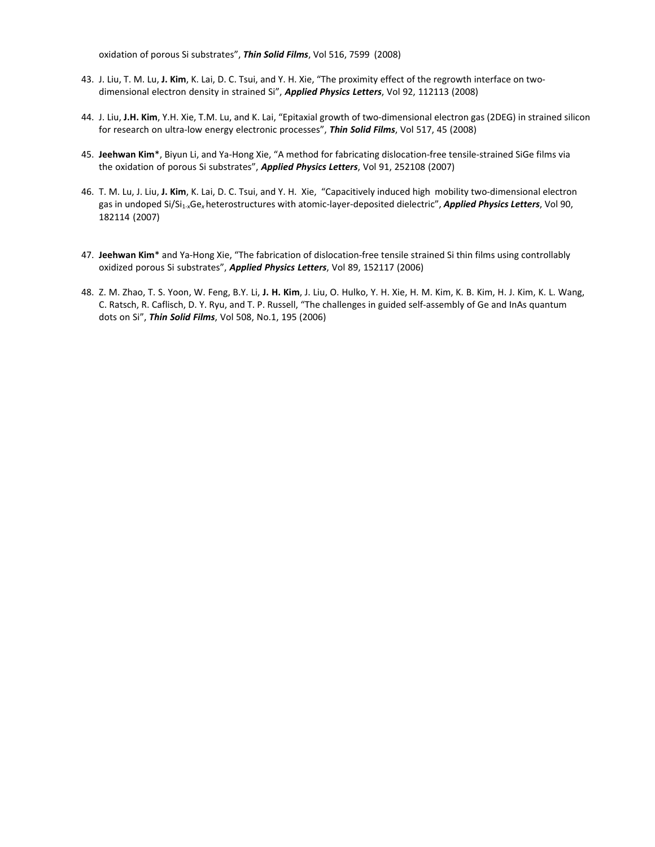oxidation of porous Si substrates", *Thin Solid Films*, Vol 516, 7599 (2008)

- 43. J. Liu, T. M. Lu, **J. Kim**, K. Lai, D. C. Tsui, and Y. H. Xie, "The proximity effect of the regrowth interface on two‐ dimensional electron density in strained Si", *Applied Physics Letters*, Vol 92, 112113 (2008)
- 44. J. Liu, **J.H. Kim**, Y.H. Xie, T.M. Lu, and K. Lai, "Epitaxial growth of two‐dimensional electron gas (2DEG) in strained silicon for research on ultra‐low energy electronic processes", *Thin Solid Films*, Vol 517, 45 (2008)
- 45. **Jeehwan Kim**\*, Biyun Li, and Ya‐Hong Xie, "A method for fabricating dislocation‐free tensile‐strained SiGe films via the oxidation of porous Si substrates", *Applied Physics Letters*, Vol 91, 252108 (2007)
- 46. T. M. Lu, J. Liu, **J. Kim**, K. Lai, D. C. Tsui, and Y. H. Xie, "Capacitively induced high mobility two‐dimensional electron gas in undoped Si/Si1‐xGe*<sup>x</sup>* heterostructures with atomic‐layer‐deposited dielectric", *Applied Physics Letters*, Vol 90, 182114 (2007)
- 47. Jeehwan Kim<sup>\*</sup> and Ya-Hong Xie, "The fabrication of dislocation-free tensile strained Si thin films using controllably oxidized porous Si substrates", *Applied Physics Letters*, Vol 89, 152117 (2006)
- 48. Z. M. Zhao, T. S. Yoon, W. Feng, B.Y. Li, **J. H. Kim**, J. Liu, O. Hulko, Y. H. Xie, H. M. Kim, K. B. Kim, H. J. Kim, K. L. Wang, C. Ratsch, R. Caflisch, D. Y. Ryu, and T. P. Russell, "The challenges in guided self‐assembly of Ge and InAs quantum dots on Si", *Thin Solid Films*, Vol 508, No.1, 195 (2006)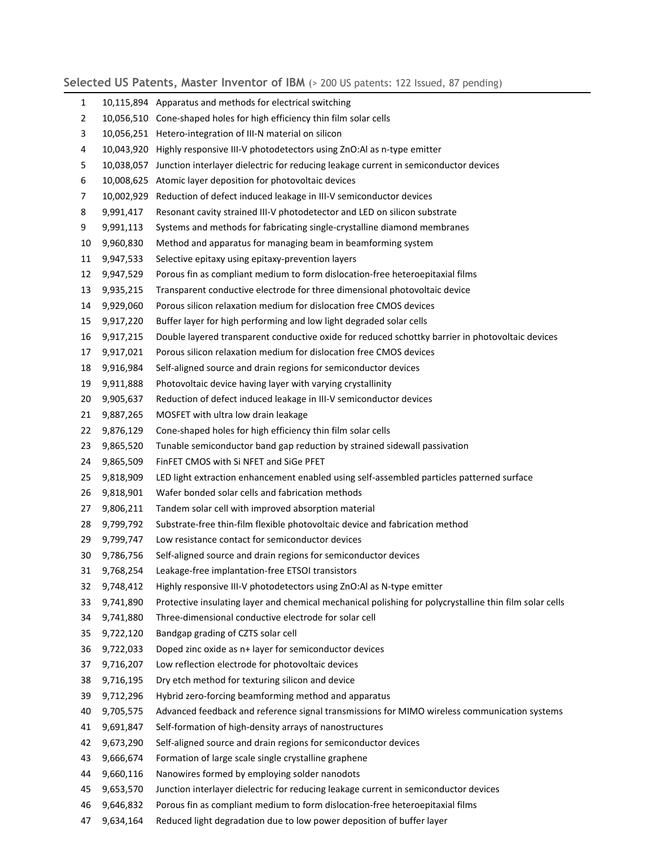### Selected US Patents, Master Inventor of IBM  $(> 200$  US patents: 122 Issued, 87 pending)

| 1              |           | 10,115,894 Apparatus and methods for electrical switching                                               |
|----------------|-----------|---------------------------------------------------------------------------------------------------------|
| $\overline{2}$ |           | 10,056,510 Cone-shaped holes for high efficiency thin film solar cells                                  |
| 3              |           | 10,056,251 Hetero-integration of III-N material on silicon                                              |
| 4              |           | 10,043,920 Highly responsive III-V photodetectors using ZnO:Al as n-type emitter                        |
| 5              |           | 10,038,057 Junction interlayer dielectric for reducing leakage current in semiconductor devices         |
| 6              |           | 10,008,625 Atomic layer deposition for photovoltaic devices                                             |
| 7              |           | 10,002,929 Reduction of defect induced leakage in III-V semiconductor devices                           |
| 8              | 9,991,417 | Resonant cavity strained III-V photodetector and LED on silicon substrate                               |
| 9              | 9,991,113 | Systems and methods for fabricating single-crystalline diamond membranes                                |
| 10             | 9,960,830 | Method and apparatus for managing beam in beamforming system                                            |
| 11             | 9,947,533 | Selective epitaxy using epitaxy-prevention layers                                                       |
| 12             | 9,947,529 | Porous fin as compliant medium to form dislocation-free heteroepitaxial films                           |
| 13             | 9,935,215 | Transparent conductive electrode for three dimensional photovoltaic device                              |
| 14             | 9,929,060 | Porous silicon relaxation medium for dislocation free CMOS devices                                      |
| 15             | 9,917,220 | Buffer layer for high performing and low light degraded solar cells                                     |
| 16             | 9,917,215 | Double layered transparent conductive oxide for reduced schottky barrier in photovoltaic devices        |
| 17             | 9,917,021 | Porous silicon relaxation medium for dislocation free CMOS devices                                      |
| 18             | 9,916,984 | Self-aligned source and drain regions for semiconductor devices                                         |
| 19             | 9,911,888 | Photovoltaic device having layer with varying crystallinity                                             |
| 20             | 9,905,637 | Reduction of defect induced leakage in III-V semiconductor devices                                      |
| 21             | 9,887,265 | MOSFET with ultra low drain leakage                                                                     |
| 22             | 9,876,129 | Cone-shaped holes for high efficiency thin film solar cells                                             |
| 23             | 9,865,520 | Tunable semiconductor band gap reduction by strained sidewall passivation                               |
| 24             | 9,865,509 | FinFET CMOS with Si NFET and SiGe PFET                                                                  |
| 25             | 9,818,909 | LED light extraction enhancement enabled using self-assembled particles patterned surface               |
| 26             | 9,818,901 | Wafer bonded solar cells and fabrication methods                                                        |
| 27             | 9,806,211 | Tandem solar cell with improved absorption material                                                     |
| 28             | 9,799,792 | Substrate-free thin-film flexible photovoltaic device and fabrication method                            |
| 29             | 9,799,747 | Low resistance contact for semiconductor devices                                                        |
| 30             | 9,786,756 | Self-aligned source and drain regions for semiconductor devices                                         |
| 31             | 9,768,254 | Leakage-free implantation-free ETSOI transistors                                                        |
| 32             | 9,748,412 | Highly responsive III-V photodetectors using ZnO:Al as N-type emitter                                   |
| 33             | 9,741,890 | Protective insulating layer and chemical mechanical polishing for polycrystalline thin film solar cells |
| 34             | 9,741,880 | Three-dimensional conductive electrode for solar cell                                                   |
| 35             | 9,722,120 | Bandgap grading of CZTS solar cell                                                                      |
| 36             | 9,722,033 | Doped zinc oxide as n+ layer for semiconductor devices                                                  |
| 37             | 9,716,207 | Low reflection electrode for photovoltaic devices                                                       |
| 38             | 9,716,195 | Dry etch method for texturing silicon and device                                                        |
| 39             | 9,712,296 | Hybrid zero-forcing beamforming method and apparatus                                                    |
| 40             | 9,705,575 | Advanced feedback and reference signal transmissions for MIMO wireless communication systems            |
| 41             | 9,691,847 | Self-formation of high-density arrays of nanostructures                                                 |
| 42             | 9,673,290 | Self-aligned source and drain regions for semiconductor devices                                         |
| 43             | 9,666,674 | Formation of large scale single crystalline graphene                                                    |
| 44             | 9,660,116 | Nanowires formed by employing solder nanodots                                                           |
| 45             | 9,653,570 | Junction interlayer dielectric for reducing leakage current in semiconductor devices                    |
| 46             | 9,646,832 | Porous fin as compliant medium to form dislocation-free heteroepitaxial films                           |
| 47             | 9,634,164 | Reduced light degradation due to low power deposition of buffer layer                                   |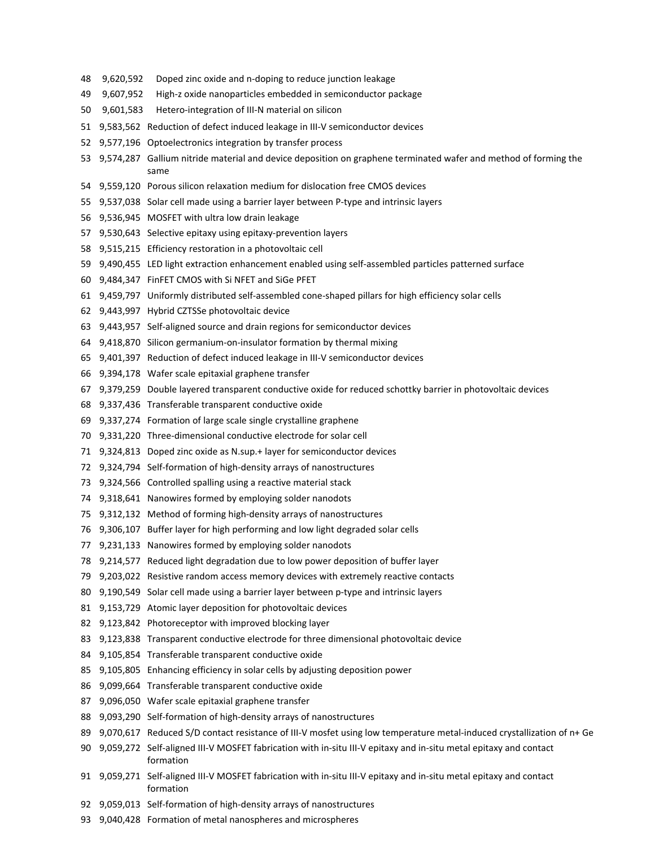- 9,620,592 Doped zinc oxide and n‐doping to reduce junction leakage
- 9,607,952 High‐z oxide nanoparticles embedded in semiconductor package
- 9,601,583 Hetero‐integration of III‐N material on silicon
- 9,583,562 Reduction of defect induced leakage in III‐V semiconductor devices
- 9,577,196 Optoelectronics integration by transfer process
- 9,574,287 Gallium nitride material and device deposition on graphene terminated wafer and method of forming the same
- 9,559,120 Porous silicon relaxation medium for dislocation free CMOS devices
- 55 9,537,038 Solar cell made using a barrier layer between P-type and intrinsic layers
- 9,536,945 MOSFET with ultra low drain leakage
- 9,530,643 Selective epitaxy using epitaxy‐prevention layers
- 9,515,215 Efficiency restoration in a photovoltaic cell
- 9,490,455 LED light extraction enhancement enabled using self‐assembled particles patterned surface
- 9,484,347 FinFET CMOS with Si NFET and SiGe PFET
- 9,459,797 Uniformly distributed self‐assembled cone‐shaped pillars for high efficiency solar cells
- 9,443,997 Hybrid CZTSSe photovoltaic device
- 9,443,957 Self‐aligned source and drain regions for semiconductor devices
- 9,418,870 Silicon germanium‐on‐insulator formation by thermal mixing
- 9,401,397 Reduction of defect induced leakage in III‐V semiconductor devices
- 9,394,178 Wafer scale epitaxial graphene transfer
- 9,379,259 Double layered transparent conductive oxide for reduced schottky barrier in photovoltaic devices
- 9,337,436 Transferable transparent conductive oxide
- 9,337,274 Formation of large scale single crystalline graphene
- 9,331,220 Three‐dimensional conductive electrode for solar cell
- 9,324,813 Doped zinc oxide as N.sup.+ layer for semiconductor devices
- 9,324,794 Self‐formation of high‐density arrays of nanostructures
- 9,324,566 Controlled spalling using a reactive material stack
- 9,318,641 Nanowires formed by employing solder nanodots
- 9,312,132 Method of forming high‐density arrays of nanostructures
- 9,306,107 Buffer layer for high performing and low light degraded solar cells
- 9,231,133 Nanowires formed by employing solder nanodots
- 9,214,577 Reduced light degradation due to low power deposition of buffer layer
- 9,203,022 Resistive random access memory devices with extremely reactive contacts
- 80 9,190,549 Solar cell made using a barrier layer between p-type and intrinsic layers
- 9,153,729 Atomic layer deposition for photovoltaic devices
- 9,123,842 Photoreceptor with improved blocking layer
- 9,123,838 Transparent conductive electrode for three dimensional photovoltaic device
- 9,105,854 Transferable transparent conductive oxide
- 9,105,805 Enhancing efficiency in solar cells by adjusting deposition power
- 9,099,664 Transferable transparent conductive oxide
- 9,096,050 Wafer scale epitaxial graphene transfer
- 88 9,093,290 Self-formation of high-density arrays of nanostructures
- 89 9,070,617 Reduced S/D contact resistance of III-V mosfet using low temperature metal-induced crystallization of n+ Ge
- 90 9,059,272 Self-aligned III-V MOSFET fabrication with in-situ III-V epitaxy and in-situ metal epitaxy and contact formation
- 91 9,059,271 Self-aligned III-V MOSFET fabrication with in-situ III-V epitaxy and in-situ metal epitaxy and contact formation
- 92 9,059,013 Self-formation of high-density arrays of nanostructures
- 9,040,428 Formation of metal nanospheres and microspheres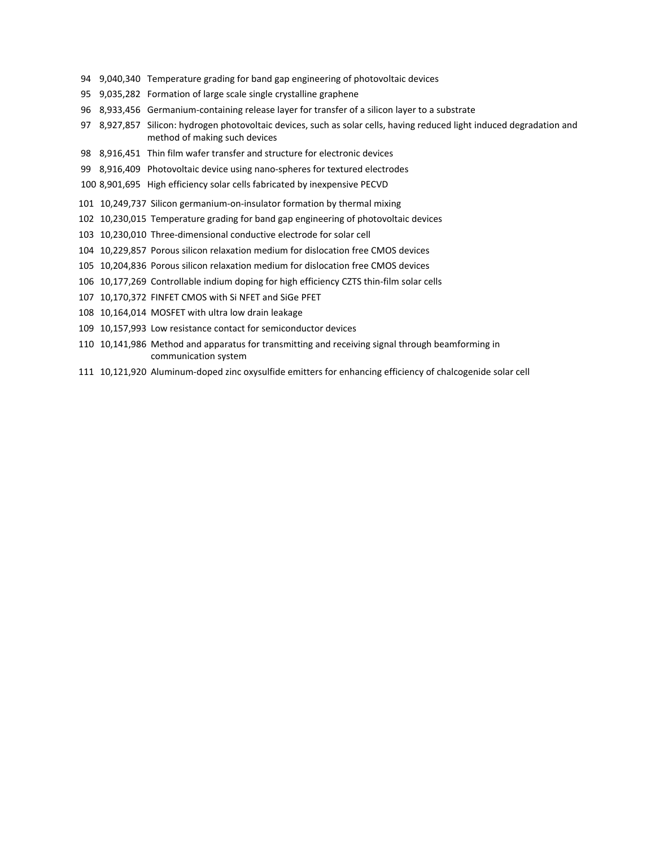- 9,040,340 Temperature grading for band gap engineering of photovoltaic devices
- 9,035,282 Formation of large scale single crystalline graphene
- 96 8,933,456 Germanium-containing release layer for transfer of a silicon layer to a substrate
- 8,927,857 Silicon: hydrogen photovoltaic devices, such as solar cells, having reduced light induced degradation and method of making such devices
- 8,916,451 Thin film wafer transfer and structure for electronic devices
- 99 8,916,409 Photovoltaic device using nano-spheres for textured electrodes
- 8,901,695 High efficiency solar cells fabricated by inexpensive PECVD
- 10,249,737 Silicon germanium‐on‐insulator formation by thermal mixing
- 10,230,015 Temperature grading for band gap engineering of photovoltaic devices
- 10,230,010 Three‐dimensional conductive electrode for solar cell
- 10,229,857 Porous silicon relaxation medium for dislocation free CMOS devices
- 10,204,836 Porous silicon relaxation medium for dislocation free CMOS devices
- 10,177,269 Controllable indium doping for high efficiency CZTS thin‐film solar cells
- 10,170,372 FINFET CMOS with Si NFET and SiGe PFET
- 10,164,014 MOSFET with ultra low drain leakage
- 10,157,993 Low resistance contact for semiconductor devices
- 10,141,986 Method and apparatus for transmitting and receiving signal through beamforming in communication system
- 10,121,920 Aluminum‐doped zinc oxysulfide emitters for enhancing efficiency of chalcogenide solar cell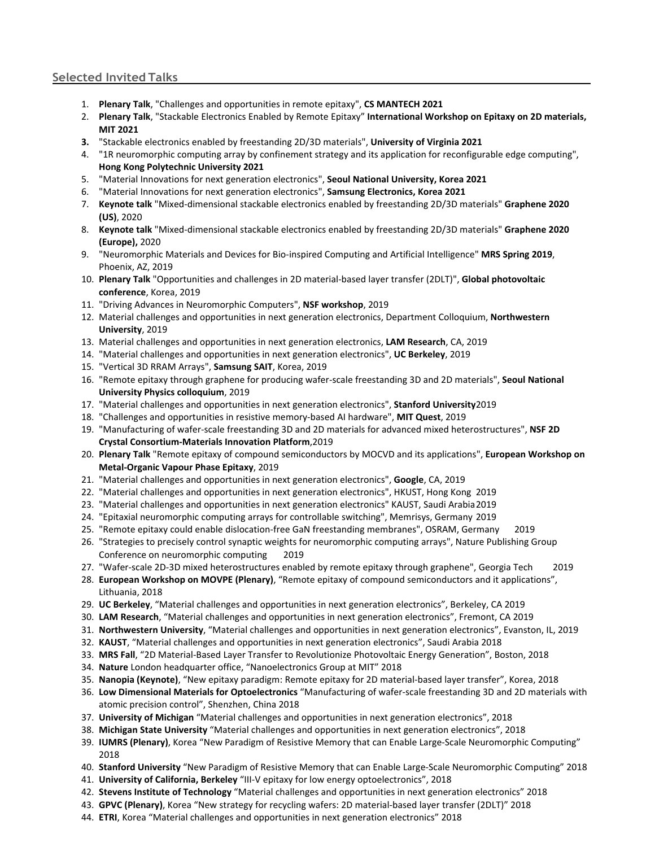#### **Selected Invited Talks**

- 1. **Plenary Talk**, "Challenges and opportunities in remote epitaxy", **CS MANTECH 2021**
- 2. **Plenary Talk**, "Stackable Electronics Enabled by Remote Epitaxy" **International Workshop on Epitaxy on 2D materials, MIT 2021**
- **3.** "Stackable electronics enabled by freestanding 2D/3D materials", **University of Virginia 2021**
- 4. "1R neuromorphic computing array by confinement strategy and its application for reconfigurable edge computing", **Hong Kong Polytechnic University 2021**
- 5. "Material Innovations for next generation electronics", **Seoul National University, Korea 2021**
- 6. "Material Innovations for next generation electronics", **Samsung Electronics, Korea 2021**
- 7. **Keynote talk** "Mixed‐dimensional stackable electronics enabled by freestanding 2D/3D materials" **Graphene 2020 (US)**, 2020
- 8. **Keynote talk** "Mixed‐dimensional stackable electronics enabled by freestanding 2D/3D materials" **Graphene 2020 (Europe),** 2020
- 9. "Neuromorphic Materials and Devices for Bio‐inspired Computing and Artificial Intelligence" **MRS Spring 2019**, Phoenix, AZ, 2019
- 10. **Plenary Talk** "Opportunities and challenges in 2D material‐based layer transfer (2DLT)", **Global photovoltaic conference**, Korea, 2019
- 11. "Driving Advances in Neuromorphic Computers", **NSF workshop**, 2019
- 12. Material challenges and opportunities in next generation electronics, Department Colloquium, **Northwestern University**, 2019
- 13. Material challenges and opportunities in next generation electronics, **LAM Research**, CA, 2019
- 14. "Material challenges and opportunities in next generation electronics", **UC Berkeley**, 2019
- 15. "Vertical 3D RRAM Arrays", **Samsung SAIT**, Korea, 2019
- 16. "Remote epitaxy through graphene for producing wafer‐scale freestanding 3D and 2D materials", **Seoul National University Physics colloquium**, 2019
- 17. "Material challenges and opportunities in next generation electronics", **Stanford University**2019
- 18. "Challenges and opportunities in resistive memory‐based AI hardware", **MIT Quest**, 2019
- 19. "Manufacturing of wafer‐scale freestanding 3D and 2D materials for advanced mixed heterostructures", **NSF 2D Crystal Consortium‐Materials Innovation Platform**,2019
- 20. **Plenary Talk** "Remote epitaxy of compound semiconductors by MOCVD and its applications", **European Workshop on Metal‐Organic Vapour Phase Epitaxy**, 2019
- 21. "Material challenges and opportunities in next generation electronics", **Google**, CA, 2019
- 22. "Material challenges and opportunities in next generation electronics", HKUST, Hong Kong 2019
- 23. "Material challenges and opportunities in next generation electronics" KAUST, Saudi Arabia2019
- 24. "Epitaxial neuromorphic computing arrays for controllable switching", Memrisys, Germany 2019
- 25. "Remote epitaxy could enable dislocation‐free GaN freestanding membranes", OSRAM, Germany 2019
- 26. "Strategies to precisely control synaptic weights for neuromorphic computing arrays", Nature Publishing Group Conference on neuromorphic computing 2019
- 27. "Wafer‐scale 2D‐3D mixed heterostructures enabled by remote epitaxy through graphene", Georgia Tech 2019
- 28. **European Workshop on MOVPE (Plenary)**, "Remote epitaxy of compound semiconductors and it applications", Lithuania, 2018
- 29. **UC Berkeley**, "Material challenges and opportunities in next generation electronics", Berkeley, CA 2019
- 30. **LAM Research**, "Material challenges and opportunities in next generation electronics", Fremont, CA 2019
- 31. **Northwestern University**, "Material challenges and opportunities in next generation electronics", Evanston, IL, 2019
- 32. **KAUST**, "Material challenges and opportunities in next generation electronics", Saudi Arabia 2018
- 33. **MRS Fall**, "2D Material‐Based Layer Transfer to Revolutionize Photovoltaic Energy Generation", Boston, 2018
- 34. **Nature** London headquarter office, "Nanoelectronics Group at MIT" 2018
- 35. **Nanopia (Keynote)**, "New epitaxy paradigm: Remote epitaxy for 2D material‐based layer transfer", Korea, 2018
- 36. **Low Dimensional Materials for Optoelectronics** "Manufacturing of wafer‐scale freestanding 3D and 2D materials with atomic precision control", Shenzhen, China 2018
- 37. **University of Michigan** "Material challenges and opportunities in next generation electronics", 2018
- 38. **Michigan State University** "Material challenges and opportunities in next generation electronics", 2018
- 39. **IUMRS (Plenary)**, Korea "New Paradigm of Resistive Memory that can Enable Large‐Scale Neuromorphic Computing" 2018
- 40. **Stanford University** "New Paradigm of Resistive Memory that can Enable Large‐Scale Neuromorphic Computing" 2018
- 41. **University of California, Berkeley** "III‐V epitaxy for low energy optoelectronics", 2018
- 42. **Stevens Institute of Technology** "Material challenges and opportunities in next generation electronics" 2018
- 43. **GPVC (Plenary)**, Korea "New strategy for recycling wafers: 2D material‐based layer transfer (2DLT)" 2018
- 44. **ETRI**, Korea "Material challenges and opportunities in next generation electronics" 2018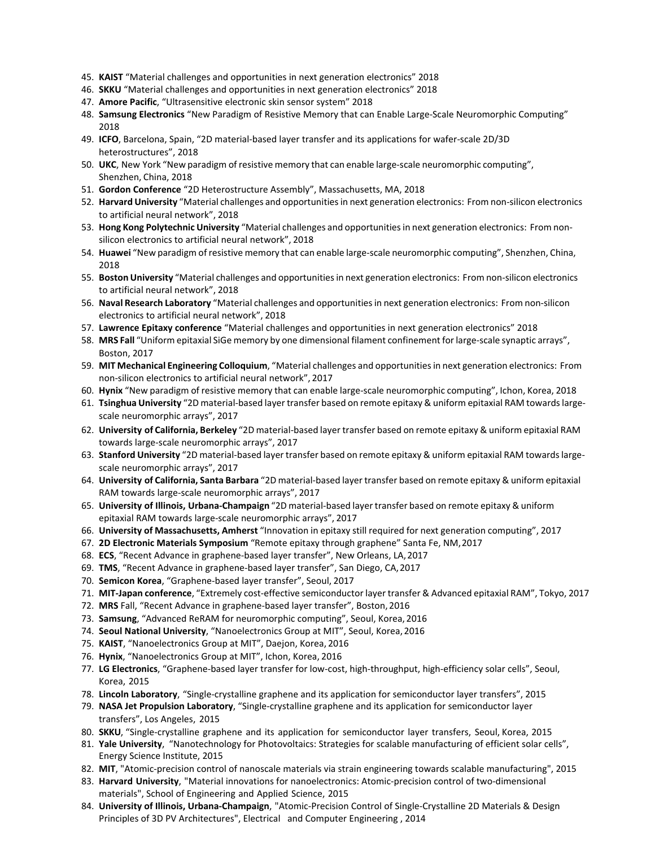- 45. **KAIST** "Material challenges and opportunities in next generation electronics" 2018
- 46. **SKKU** "Material challenges and opportunities in next generation electronics" 2018
- 47. **Amore Pacific**, "Ultrasensitive electronic skin sensor system" 2018
- 48. **Samsung Electronics** "New Paradigm of Resistive Memory that can Enable Large‐Scale Neuromorphic Computing" 2018
- 49. **ICFO**, Barcelona, Spain, "2D material‐based layer transfer and its applications for wafer‐scale 2D/3D heterostructures", 2018
- 50. **UKC**, New York "New paradigm of resistive memory that can enable large-scale neuromorphic computing", Shenzhen, China, 2018
- 51. **Gordon Conference** "2D Heterostructure Assembly", Massachusetts, MA, 2018
- 52. **Harvard University** "Material challenges and opportunitiesin next generation electronics: From non‐silicon electronics to artificial neural network", 2018
- 53. **Hong Kong Polytechnic University** "Material challenges and opportunitiesin next generation electronics: From non‐ silicon electronics to artificial neural network", 2018
- 54. **Huawei** "New paradigm of resistive memory that can enable large‐scale neuromorphic computing", Shenzhen, China, 2018
- 55. **Boston University** "Material challenges and opportunitiesin next generation electronics: From non‐silicon electronics to artificial neural network", 2018
- 56. **Naval Research Laboratory** "Material challenges and opportunitiesin next generation electronics: From non‐silicon electronics to artificial neural network", 2018
- 57. **Lawrence Epitaxy conference** "Material challenges and opportunities in next generation electronics" 2018
- 58. **MRS Fall** "Uniform epitaxial SiGe memory by one dimensional filament confinement for large‐scale synaptic arrays", Boston, 2017
- 59. **MIT Mechanical Engineering Colloquium**, "Material challenges and opportunitiesin next generation electronics: From non‐silicon electronics to artificial neural network", 2017
- 60. **Hynix** "New paradigm of resistive memory that can enable large‐scale neuromorphic computing", Ichon, Korea, 2018
- 61. **Tsinghua University** "2D material‐based layer transfer based on remote epitaxy & uniform epitaxial RAM towardslarge‐ scale neuromorphic arrays", 2017
- 62. **University of California, Berkeley** "2D material‐based layer transfer based on remote epitaxy & uniform epitaxial RAM towards large‐scale neuromorphic arrays", 2017
- 63. **Stanford University** "2D material‐based layer transfer based on remote epitaxy & uniform epitaxial RAM towardslarge‐ scale neuromorphic arrays", 2017
- 64. **University of California, Santa Barbara** "2D material‐based layer transfer based on remote epitaxy & uniform epitaxial RAM towards large‐scale neuromorphic arrays", 2017
- 65. **University of Illinois, Urbana‐Champaign** "2D material‐based layer transfer based on remote epitaxy & uniform epitaxial RAM towards large‐scale neuromorphic arrays", 2017
- 66. **University of Massachusetts, Amherst** "Innovation in epitaxy still required for next generation computing", 2017
- 67. **2D Electronic Materials Symposium** "Remote epitaxy through graphene" Santa Fe, NM,2017
- 68. **ECS**, "Recent Advance in graphene‐based layer transfer", New Orleans, LA,2017
- 69. **TMS**, "Recent Advance in graphene‐based layer transfer", San Diego, CA,2017
- 70. **Semicon Korea**, "Graphene‐based layer transfer", Seoul, 2017
- 71. **MIT‐Japan conference**, "Extremely cost‐effective semiconductor layer transfer & Advanced epitaxial RAM", Tokyo, 2017
- 72. **MRS** Fall, "Recent Advance in graphene‐based layer transfer", Boston, 2016
- 73. **Samsung**, "Advanced ReRAM for neuromorphic computing", Seoul, Korea, 2016
- 74. **Seoul National University**, "Nanoelectronics Group at MIT", Seoul, Korea, 2016
- 75. **KAIST**, "Nanoelectronics Group at MIT", Daejon, Korea, 2016
- 76. **Hynix**, "Nanoelectronics Group at MIT", Ichon, Korea, 2016
- 77. **LG Electronics**, "Graphene‐based layer transfer for low‐cost, high‐throughput, high‐efficiency solar cells", Seoul, Korea, 2015
- 78. **Lincoln Laboratory**, "Single‐crystalline graphene and its application for semiconductor layer transfers", 2015
- 79. **NASA Jet Propulsion Laboratory**, "Single‐crystalline graphene and its application for semiconductor layer transfers", Los Angeles, 2015
- 80. **SKKU**, "Single‐crystalline graphene and its application for semiconductor layer transfers, Seoul, Korea, 2015
- 81. **Yale University**, "Nanotechnology for Photovoltaics: Strategies for scalable manufacturing of efficient solar cells", Energy Science Institute, 2015
- 82. **MIT**, "Atomic‐precision control of nanoscale materials via strain engineering towards scalable manufacturing", 2015
- 83. Harvard University, "Material innovations for nanoelectronics: Atomic-precision control of two-dimensional materials", School of Engineering and Applied Science, 2015
- 84. **University of Illinois, Urbana‐Champaign**, "Atomic‐Precision Control of Single‐Crystalline 2D Materials & Design Principles of 3D PV Architectures", Electrical and Computer Engineering , 2014